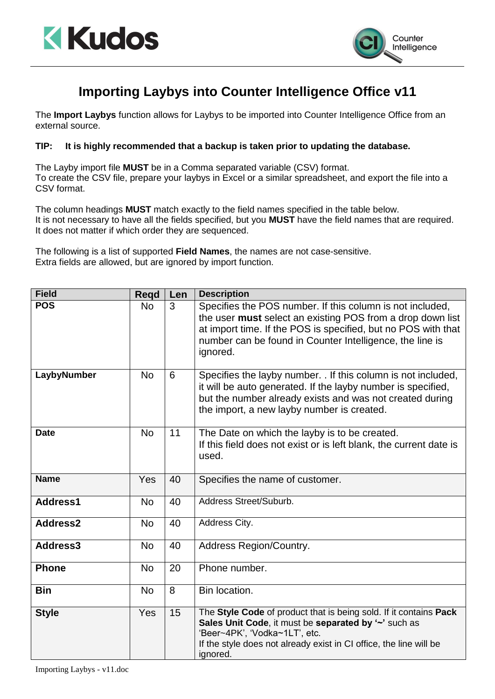



## **Importing Laybys into Counter Intelligence Office v11**

The **Import Laybys** function allows for Laybys to be imported into Counter Intelligence Office from an external source.

## **TIP: It is highly recommended that a backup is taken prior to updating the database.**

The Layby import file **MUST** be in a Comma separated variable (CSV) format. To create the CSV file, prepare your laybys in Excel or a similar spreadsheet, and export the file into a CSV format.

The column headings **MUST** match exactly to the field names specified in the table below. It is not necessary to have all the fields specified, but you **MUST** have the field names that are required. It does not matter if which order they are sequenced.

The following is a list of supported **Field Names**, the names are not case-sensitive. Extra fields are allowed, but are ignored by import function.

| <b>Field</b> | <b>Regd</b> | Len | <b>Description</b>                                                                                                                                                                                                                                               |
|--------------|-------------|-----|------------------------------------------------------------------------------------------------------------------------------------------------------------------------------------------------------------------------------------------------------------------|
| <b>POS</b>   | <b>No</b>   | 3   | Specifies the POS number. If this column is not included,<br>the user must select an existing POS from a drop down list<br>at import time. If the POS is specified, but no POS with that<br>number can be found in Counter Intelligence, the line is<br>ignored. |
| LaybyNumber  | <b>No</b>   | 6   | Specifies the layby number. . If this column is not included,<br>it will be auto generated. If the layby number is specified,<br>but the number already exists and was not created during<br>the import, a new layby number is created.                          |
| <b>Date</b>  | <b>No</b>   | 11  | The Date on which the layby is to be created.<br>If this field does not exist or is left blank, the current date is<br>used.                                                                                                                                     |
| <b>Name</b>  | Yes         | 40  | Specifies the name of customer.                                                                                                                                                                                                                                  |
| Address1     | <b>No</b>   | 40  | Address Street/Suburb.                                                                                                                                                                                                                                           |
| Address2     | No          | 40  | Address City.                                                                                                                                                                                                                                                    |
| Address3     | <b>No</b>   | 40  | Address Region/Country.                                                                                                                                                                                                                                          |
| <b>Phone</b> | <b>No</b>   | 20  | Phone number.                                                                                                                                                                                                                                                    |
| <b>Bin</b>   | <b>No</b>   | 8   | Bin location.                                                                                                                                                                                                                                                    |
| <b>Style</b> | Yes         | 15  | The Style Code of product that is being sold. If it contains Pack<br>Sales Unit Code, it must be separated by '~' such as<br>'Beer~4PK', 'Vodka~1LT', etc.<br>If the style does not already exist in CI office, the line will be<br>ignored.                     |